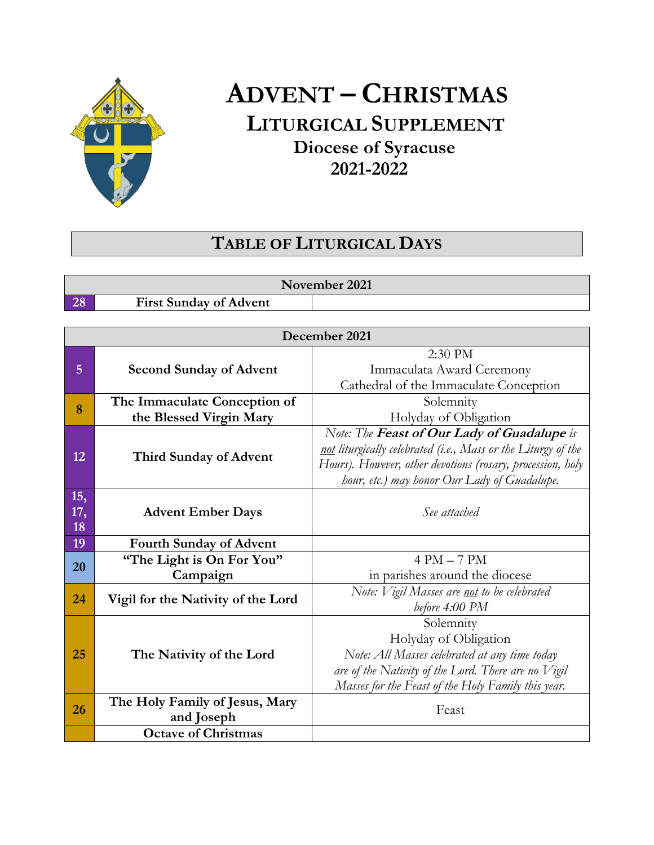

# **ADVENT – CHRISTMAS LITURGICAL SUPPLEMENT Diocese of Syracuse 2021-2022**

# **TABLE OF LITURGICAL DAYS**

| November 2021 |                               |  |  |  |
|---------------|-------------------------------|--|--|--|
| 28            | <b>First Sunday of Advent</b> |  |  |  |

| December 2021 |                                    |                                                               |  |
|---------------|------------------------------------|---------------------------------------------------------------|--|
| 5             | <b>Second Sunday of Advent</b>     | 2:30 PM                                                       |  |
|               |                                    | Immaculata Award Ceremony                                     |  |
|               |                                    | Cathedral of the Immaculate Conception                        |  |
| 8             | The Immaculate Conception of       | Solemnity                                                     |  |
|               | the Blessed Virgin Mary            | Holyday of Obligation                                         |  |
|               | Third Sunday of Advent             | Note: The Feast of Our Lady of Guadalupe is                   |  |
| 12            |                                    | not liturgically celebrated (i.e., Mass or the Liturgy of the |  |
|               |                                    | Hours). However, other devotions (rosary, procession, holy    |  |
|               |                                    | hour, etc.) may honor Our Lady of Guadalupe.                  |  |
| 15,           |                                    |                                                               |  |
| 17,           | <b>Advent Ember Days</b>           | See attached                                                  |  |
| 18            |                                    |                                                               |  |
| 19            | Fourth Sunday of Advent            |                                                               |  |
| 20            | "The Light is On For You"          | $4 PM - 7 PM$                                                 |  |
|               | Campaign                           | in parishes around the diocese                                |  |
| 24            | Vigil for the Nativity of the Lord | Note: Vigil Masses are not to be celebrated                   |  |
|               |                                    | before 4:00 PM                                                |  |
|               | The Nativity of the Lord           | Solemnity                                                     |  |
|               |                                    | Holyday of Obligation                                         |  |
| 25            |                                    | Note: All Masses celebrated at any time today                 |  |
|               |                                    | are of the Nativity of the Lord. There are no Vigil           |  |
|               |                                    | Masses for the Feast of the Holy Family this year.            |  |
| 26            | The Holy Family of Jesus, Mary     | Feast                                                         |  |
|               | and Joseph                         |                                                               |  |
|               | <b>Octave of Christmas</b>         |                                                               |  |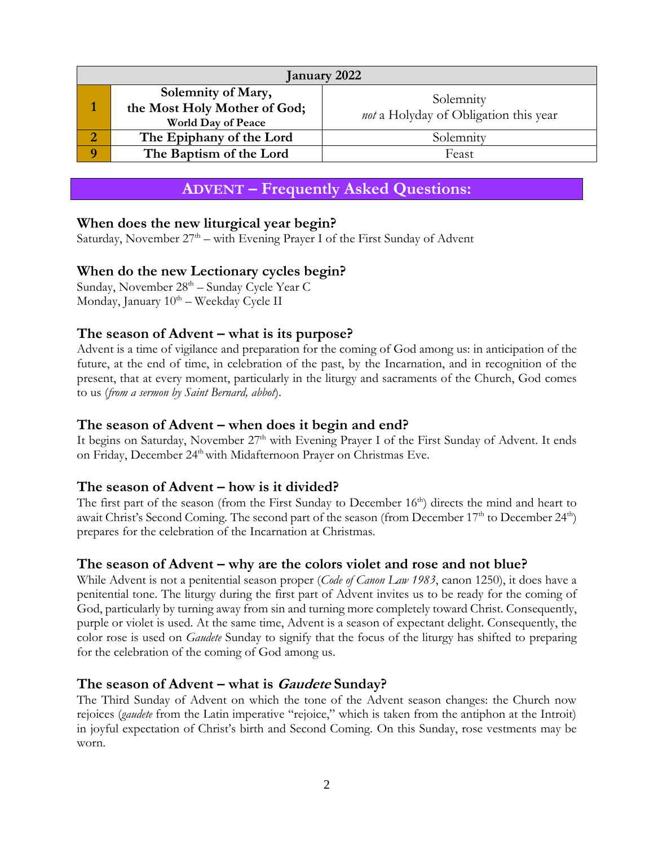| January 2022 |                                                                                 |                                                    |  |  |
|--------------|---------------------------------------------------------------------------------|----------------------------------------------------|--|--|
| 1            | Solemnity of Mary,<br>the Most Holy Mother of God;<br><b>World Day of Peace</b> | Solemnity<br>not a Holyday of Obligation this year |  |  |
|              | The Epiphany of the Lord                                                        | Solemnity                                          |  |  |
| Q            | The Baptism of the Lord                                                         | Feast                                              |  |  |

# **ADVENT – Frequently Asked Questions:**

# **When does the new liturgical year begin?**

Saturday, November 27<sup>th</sup> – with Evening Prayer I of the First Sunday of Advent

# **When do the new Lectionary cycles begin?**

Sunday, November 28<sup>th</sup> – Sunday Cycle Year C Monday, January 10<sup>th</sup> – Weekday Cycle II

# **The season of Advent – what is its purpose?**

Advent is a time of vigilance and preparation for the coming of God among us: in anticipation of the future, at the end of time, in celebration of the past, by the Incarnation, and in recognition of the present, that at every moment, particularly in the liturgy and sacraments of the Church, God comes to us (*from a sermon by Saint Bernard, abbot*).

## **The season of Advent – when does it begin and end?**

It begins on Saturday, November 27<sup>th</sup> with Evening Prayer I of the First Sunday of Advent. It ends on Friday, December 24<sup>th</sup> with Midafternoon Prayer on Christmas Eve.

# **The season of Advent – how is it divided?**

The first part of the season (from the First Sunday to December 16<sup>th</sup>) directs the mind and heart to await Christ's Second Coming. The second part of the season (from December 17<sup>th</sup> to December 24<sup>th</sup>) prepares for the celebration of the Incarnation at Christmas.

#### **The season of Advent – why are the colors violet and rose and not blue?**

While Advent is not a penitential season proper (*Code of Canon Law 1983*, canon 1250), it does have a penitential tone. The liturgy during the first part of Advent invites us to be ready for the coming of God, particularly by turning away from sin and turning more completely toward Christ. Consequently, purple or violet is used. At the same time, Advent is a season of expectant delight. Consequently, the color rose is used on *Gaudete* Sunday to signify that the focus of the liturgy has shifted to preparing for the celebration of the coming of God among us.

# **The season of Advent – what is Gaudete Sunday?**

The Third Sunday of Advent on which the tone of the Advent season changes: the Church now rejoices (*gaudete* from the Latin imperative "rejoice," which is taken from the antiphon at the Introit) in joyful expectation of Christ's birth and Second Coming. On this Sunday, rose vestments may be worn.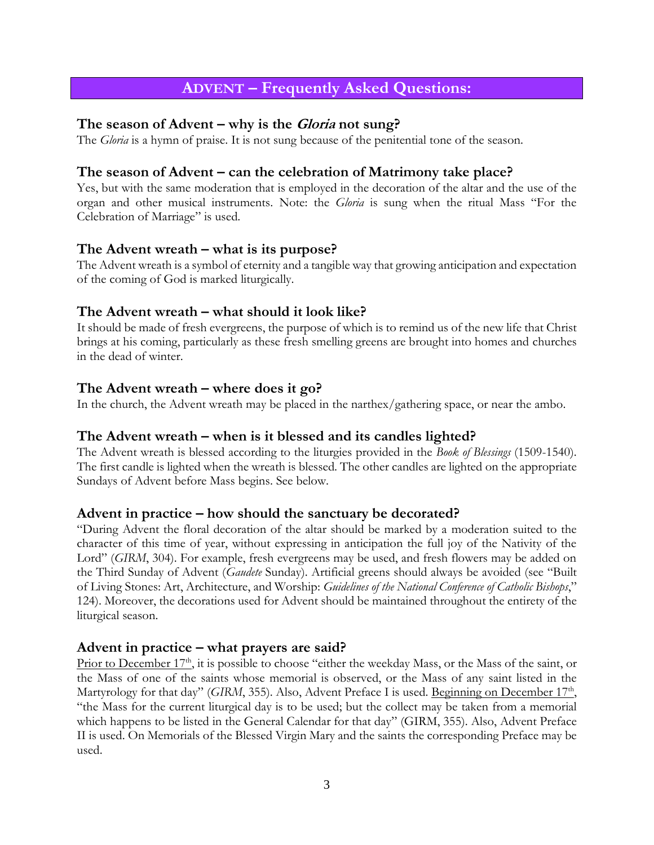# **ADVENT – Frequently Asked Questions:**

## **The season of Advent – why is the Gloria not sung?**

The *Gloria* is a hymn of praise. It is not sung because of the penitential tone of the season.

### **The season of Advent – can the celebration of Matrimony take place?**

Yes, but with the same moderation that is employed in the decoration of the altar and the use of the organ and other musical instruments. Note: the *Gloria* is sung when the ritual Mass "For the Celebration of Marriage" is used.

### **The Advent wreath – what is its purpose?**

The Advent wreath is a symbol of eternity and a tangible way that growing anticipation and expectation of the coming of God is marked liturgically.

### **The Advent wreath – what should it look like?**

It should be made of fresh evergreens, the purpose of which is to remind us of the new life that Christ brings at his coming, particularly as these fresh smelling greens are brought into homes and churches in the dead of winter.

### **The Advent wreath – where does it go?**

In the church, the Advent wreath may be placed in the narthex/gathering space, or near the ambo.

#### **The Advent wreath – when is it blessed and its candles lighted?**

The Advent wreath is blessed according to the liturgies provided in the *Book of Blessings* (1509-1540). The first candle is lighted when the wreath is blessed. The other candles are lighted on the appropriate Sundays of Advent before Mass begins. See below.

#### **Advent in practice – how should the sanctuary be decorated?**

"During Advent the floral decoration of the altar should be marked by a moderation suited to the character of this time of year, without expressing in anticipation the full joy of the Nativity of the Lord" (GIRM, 304). For example, fresh evergreens may be used, and fresh flowers may be added on the Third Sunday of Advent (*Gaudete* Sunday). Artificial greens should always be avoided (see "Built of Living Stones: Art, Architecture, and Worship: *Guidelines of the National Conference of Catholic Bishops*," 124). Moreover, the decorations used for Advent should be maintained throughout the entirety of the liturgical season.

#### **Advent in practice – what prayers are said?**

Prior to December 17<sup>th</sup>, it is possible to choose "either the weekday Mass, or the Mass of the saint, or the Mass of one of the saints whose memorial is observed, or the Mass of any saint listed in the Martyrology for that day" (GIRM, 355). Also, Advent Preface I is used. Beginning on December 17<sup>th</sup>, "the Mass for the current liturgical day is to be used; but the collect may be taken from a memorial which happens to be listed in the General Calendar for that day" (GIRM, 355). Also, Advent Preface II is used. On Memorials of the Blessed Virgin Mary and the saints the corresponding Preface may be used.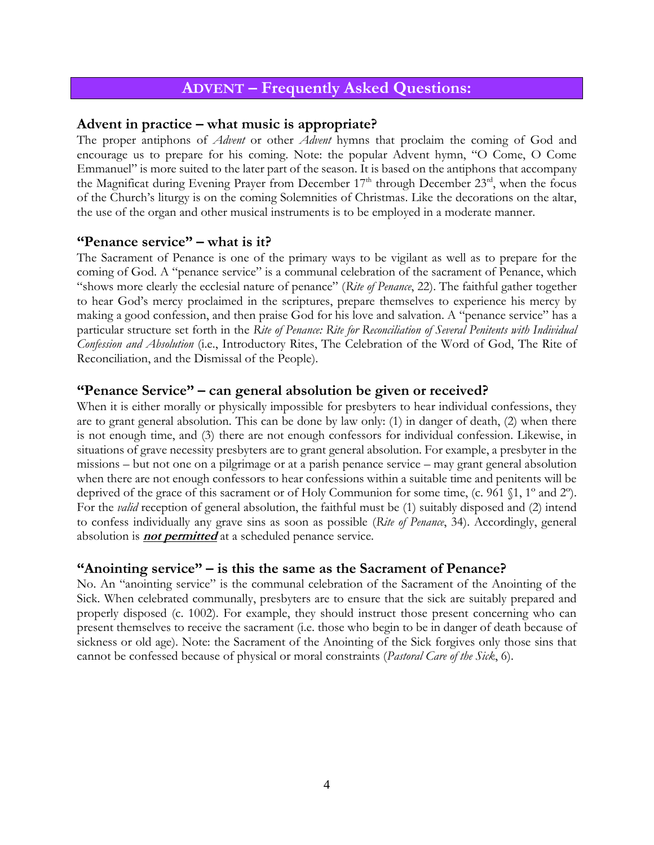# **ADVENT – Frequently Asked Questions:**

### **Advent in practice – what music is appropriate?**

The proper antiphons of *Advent* or other *Advent* hymns that proclaim the coming of God and encourage us to prepare for his coming. Note: the popular Advent hymn, "O Come, O Come Emmanuel" is more suited to the later part of the season. It is based on the antiphons that accompany the Magnificat during Evening Prayer from December 17<sup>th</sup> through December 23<sup>rd</sup>, when the focus of the Church's liturgy is on the coming Solemnities of Christmas. Like the decorations on the altar, the use of the organ and other musical instruments is to be employed in a moderate manner.

## **"Penance service" – what is it?**

The Sacrament of Penance is one of the primary ways to be vigilant as well as to prepare for the coming of God. A "penance service" is a communal celebration of the sacrament of Penance, which "shows more clearly the ecclesial nature of penance" (*Rite of Penance*, 22). The faithful gather together to hear God's mercy proclaimed in the scriptures, prepare themselves to experience his mercy by making a good confession, and then praise God for his love and salvation. A "penance service" has a particular structure set forth in the *Rite of Penance: Rite for Reconciliation of Several Penitents with Individual Confession and Absolution* (i.e., Introductory Rites, The Celebration of the Word of God, The Rite of Reconciliation, and the Dismissal of the People).

### **"Penance Service" – can general absolution be given or received?**

When it is either morally or physically impossible for presbyters to hear individual confessions, they are to grant general absolution. This can be done by law only: (1) in danger of death, (2) when there is not enough time, and (3) there are not enough confessors for individual confession. Likewise, in situations of grave necessity presbyters are to grant general absolution. For example, a presbyter in the missions – but not one on a pilgrimage or at a parish penance service – may grant general absolution when there are not enough confessors to hear confessions within a suitable time and penitents will be deprived of the grace of this sacrament or of Holy Communion for some time, (c. 961 §1, 1º and 2º). For the *valid* reception of general absolution, the faithful must be (1) suitably disposed and (2) intend to confess individually any grave sins as soon as possible (*Rite of Penance*, 34). Accordingly, general absolution is **not permitted** at a scheduled penance service.

# **"Anointing service" – is this the same as the Sacrament of Penance?**

No. An "anointing service" is the communal celebration of the Sacrament of the Anointing of the Sick. When celebrated communally, presbyters are to ensure that the sick are suitably prepared and properly disposed (c. 1002). For example, they should instruct those present concerning who can present themselves to receive the sacrament (i.e. those who begin to be in danger of death because of sickness or old age). Note: the Sacrament of the Anointing of the Sick forgives only those sins that cannot be confessed because of physical or moral constraints (*Pastoral Care of the Sick*, 6).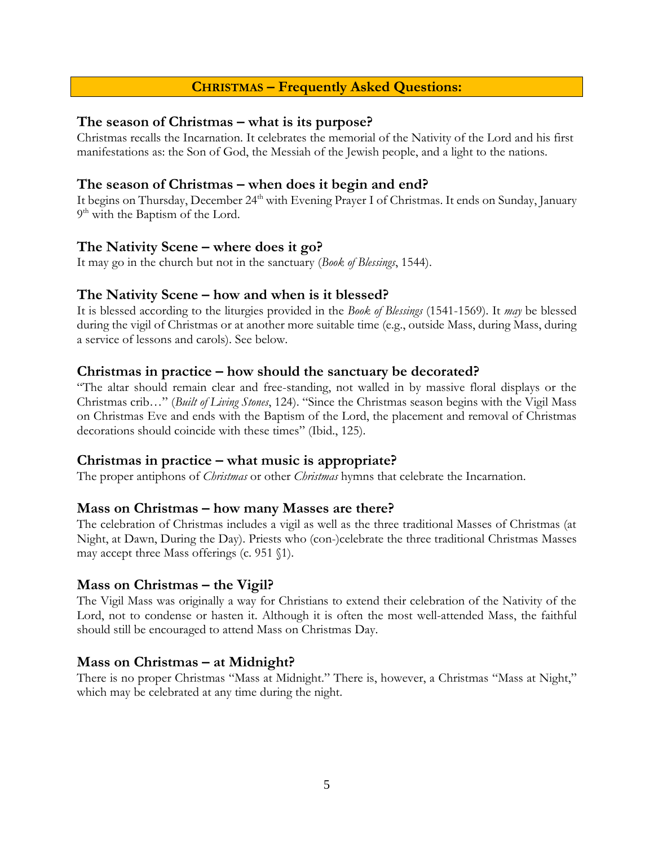# **CHRISTMAS – Frequently Asked Questions:**

#### **The season of Christmas – what is its purpose?**

Christmas recalls the Incarnation. It celebrates the memorial of the Nativity of the Lord and his first manifestations as: the Son of God, the Messiah of the Jewish people, and a light to the nations.

## **The season of Christmas – when does it begin and end?**

It begins on Thursday, December 24<sup>th</sup> with Evening Prayer I of Christmas. It ends on Sunday, January 9<sup>th</sup> with the Baptism of the Lord.

#### **The Nativity Scene – where does it go?**

It may go in the church but not in the sanctuary (*Book of Blessings*, 1544).

#### **The Nativity Scene – how and when is it blessed?**

It is blessed according to the liturgies provided in the *Book of Blessings* (1541-1569). It *may* be blessed during the vigil of Christmas or at another more suitable time (e.g., outside Mass, during Mass, during a service of lessons and carols). See below.

#### **Christmas in practice – how should the sanctuary be decorated?**

"The altar should remain clear and free-standing, not walled in by massive floral displays or the Christmas crib…" (*Built of Living Stones*, 124). "Since the Christmas season begins with the Vigil Mass on Christmas Eve and ends with the Baptism of the Lord, the placement and removal of Christmas decorations should coincide with these times" (Ibid., 125).

### **Christmas in practice – what music is appropriate?**

The proper antiphons of *Christmas* or other *Christmas* hymns that celebrate the Incarnation.

#### **Mass on Christmas – how many Masses are there?**

The celebration of Christmas includes a vigil as well as the three traditional Masses of Christmas (at Night, at Dawn, During the Day). Priests who (con-)celebrate the three traditional Christmas Masses may accept three Mass offerings (c. 951 §1).

#### **Mass on Christmas – the Vigil?**

The Vigil Mass was originally a way for Christians to extend their celebration of the Nativity of the Lord, not to condense or hasten it. Although it is often the most well-attended Mass, the faithful should still be encouraged to attend Mass on Christmas Day.

#### **Mass on Christmas – at Midnight?**

There is no proper Christmas "Mass at Midnight." There is, however, a Christmas "Mass at Night," which may be celebrated at any time during the night.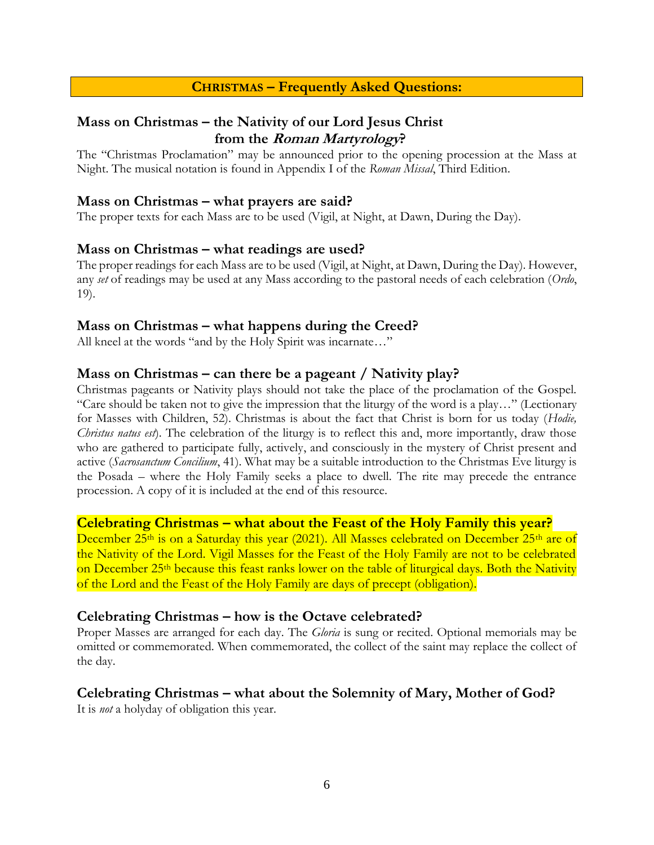# **CHRISTMAS – Frequently Asked Questions:**

# **Mass on Christmas – the Nativity of our Lord Jesus Christ from the Roman Martyrology?**

The "Christmas Proclamation" may be announced prior to the opening procession at the Mass at Night. The musical notation is found in Appendix I of the *Roman Missal*, Third Edition.

## **Mass on Christmas – what prayers are said?**

The proper texts for each Mass are to be used (Vigil, at Night, at Dawn, During the Day).

### **Mass on Christmas – what readings are used?**

The proper readings for each Mass are to be used (Vigil, at Night, at Dawn, During the Day). However, any *set* of readings may be used at any Mass according to the pastoral needs of each celebration (*Ordo*, 19).

### **Mass on Christmas – what happens during the Creed?**

All kneel at the words "and by the Holy Spirit was incarnate…"

# **Mass on Christmas – can there be a pageant / Nativity play?**

Christmas pageants or Nativity plays should not take the place of the proclamation of the Gospel. "Care should be taken not to give the impression that the liturgy of the word is a play…" (Lectionary for Masses with Children, 52). Christmas is about the fact that Christ is born for us today (*Hodie, Christus natus est*). The celebration of the liturgy is to reflect this and, more importantly, draw those who are gathered to participate fully, actively, and consciously in the mystery of Christ present and active (*Sacrosanctum Concilium*, 41). What may be a suitable introduction to the Christmas Eve liturgy is the Posada – where the Holy Family seeks a place to dwell. The rite may precede the entrance procession. A copy of it is included at the end of this resource.

#### **Celebrating Christmas – what about the Feast of the Holy Family this year?**

December 25<sup>th</sup> is on a Saturday this year (2021). All Masses celebrated on December 25<sup>th</sup> are of the Nativity of the Lord. Vigil Masses for the Feast of the Holy Family are not to be celebrated on December 25<sup>th</sup> because this feast ranks lower on the table of liturgical days. Both the Nativity of the Lord and the Feast of the Holy Family are days of precept (obligation).

#### **Celebrating Christmas – how is the Octave celebrated?**

Proper Masses are arranged for each day. The *Gloria* is sung or recited. Optional memorials may be omitted or commemorated. When commemorated, the collect of the saint may replace the collect of the day.

# **Celebrating Christmas – what about the Solemnity of Mary, Mother of God?**

It is *not* a holyday of obligation this year.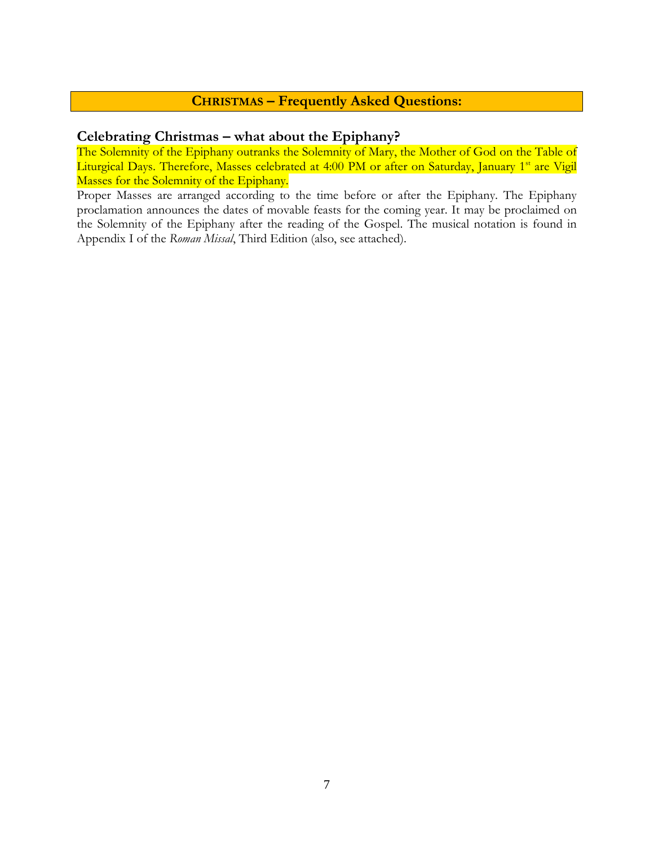# **CHRISTMAS – Frequently Asked Questions:**

## **Celebrating Christmas – what about the Epiphany?**

The Solemnity of the Epiphany outranks the Solemnity of Mary, the Mother of God on the Table of Liturgical Days. Therefore, Masses celebrated at 4:00 PM or after on Saturday, January 1<sup>st</sup> are Vigil Masses for the Solemnity of the Epiphany.

Proper Masses are arranged according to the time before or after the Epiphany. The Epiphany proclamation announces the dates of movable feasts for the coming year. It may be proclaimed on the Solemnity of the Epiphany after the reading of the Gospel. The musical notation is found in Appendix I of the *Roman Missal*, Third Edition (also, see attached).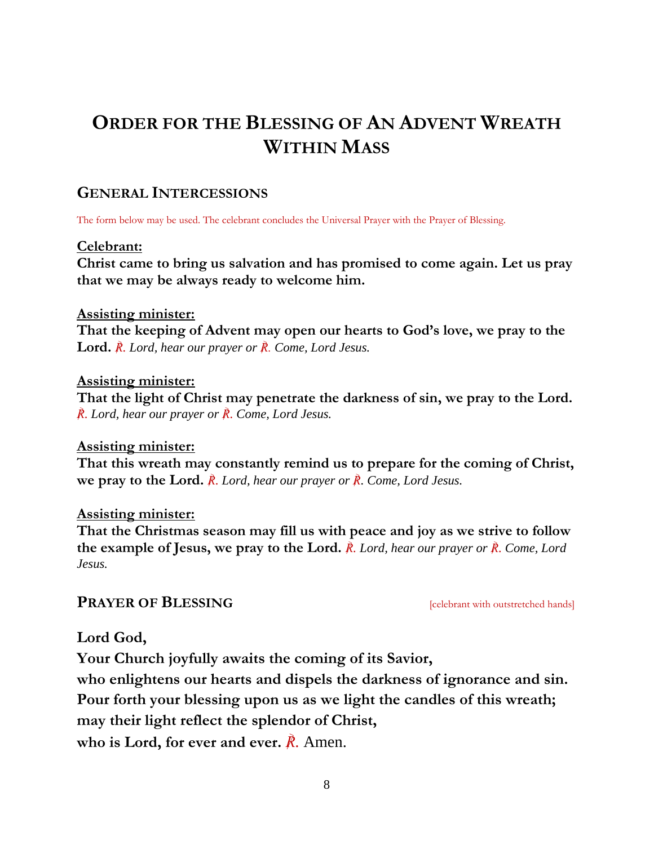# **ORDER FOR THE BLESSING OF AN ADVENT WREATH WITHIN MASS**

# **GENERAL INTERCESSIONS**

The form below may be used. The celebrant concludes the Universal Prayer with the Prayer of Blessing.

# **Celebrant:**

**Christ came to bring us salvation and has promised to come again. Let us pray that we may be always ready to welcome him.** 

# **Assisting minister:**

**That the keeping of Advent may open our hearts to God's love, we pray to the Lord.** *℟. Lord, hear our prayer or ℟. Come, Lord Jesus.*

# **Assisting minister:**

**That the light of Christ may penetrate the darkness of sin, we pray to the Lord.**  *℟. Lord, hear our prayer or ℟. Come, Lord Jesus.*

# **Assisting minister:**

**That this wreath may constantly remind us to prepare for the coming of Christ, we pray to the Lord.** *℟. Lord, hear our prayer or ℟. Come, Lord Jesus.*

# **Assisting minister:**

**That the Christmas season may fill us with peace and joy as we strive to follow the example of Jesus, we pray to the Lord.** *℟. Lord, hear our prayer or ℟. Come, Lord Jesus.*

# **PRAYER OF BLESSING** [celebrant with outstretched hands]

**Lord God,** 

**Your Church joyfully awaits the coming of its Savior,** 

**who enlightens our hearts and dispels the darkness of ignorance and sin. Pour forth your blessing upon us as we light the candles of this wreath; may their light reflect the splendor of Christ,** 

**who is Lord, for ever and ever.** *℟.* Amen.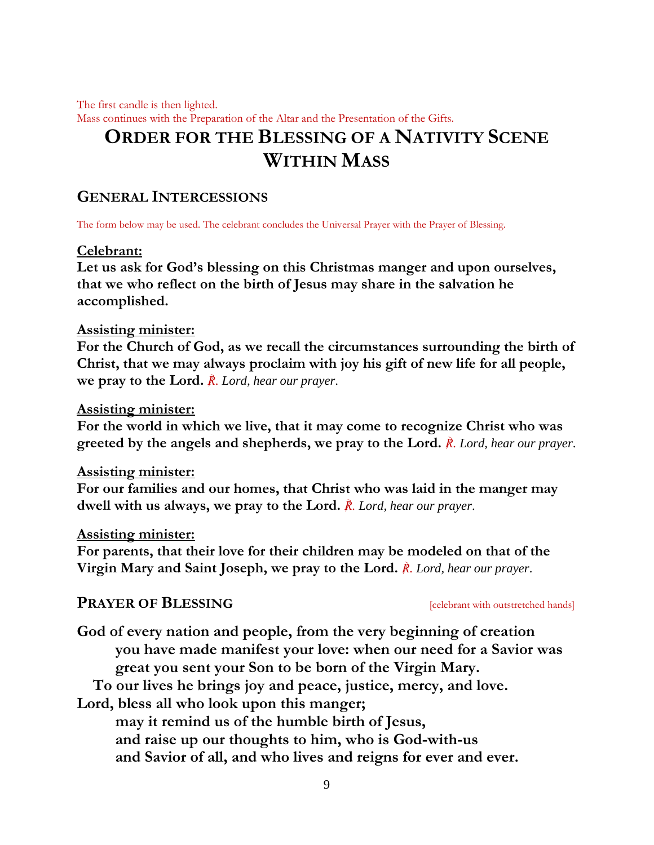The first candle is then lighted. Mass continues with the Preparation of the Altar and the Presentation of the Gifts.

# **ORDER FOR THE BLESSING OF A NATIVITY SCENE WITHIN MASS**

# **GENERAL INTERCESSIONS**

The form below may be used. The celebrant concludes the Universal Prayer with the Prayer of Blessing.

### **Celebrant:**

**Let us ask for God's blessing on this Christmas manger and upon ourselves, that we who reflect on the birth of Jesus may share in the salvation he accomplished.** 

# **Assisting minister:**

**For the Church of God, as we recall the circumstances surrounding the birth of Christ, that we may always proclaim with joy his gift of new life for all people, we pray to the Lord.** *℟. Lord, hear our prayer*.

# **Assisting minister:**

**For the world in which we live, that it may come to recognize Christ who was greeted by the angels and shepherds, we pray to the Lord.** *℟. Lord, hear our prayer*.

# **Assisting minister:**

**For our families and our homes, that Christ who was laid in the manger may dwell with us always, we pray to the Lord.** *℟. Lord, hear our prayer*.

# **Assisting minister:**

**For parents, that their love for their children may be modeled on that of the Virgin Mary and Saint Joseph, we pray to the Lord.** *℟. Lord, hear our prayer*.

# **PRAYER OF BLESSING** [celebrant with outstretched hands]

**God of every nation and people, from the very beginning of creation you have made manifest your love: when our need for a Savior was great you sent your Son to be born of the Virgin Mary.** 

 **To our lives he brings joy and peace, justice, mercy, and love.** 

**Lord, bless all who look upon this manger;** 

**may it remind us of the humble birth of Jesus, and raise up our thoughts to him, who is God-with-us and Savior of all, and who lives and reigns for ever and ever.**